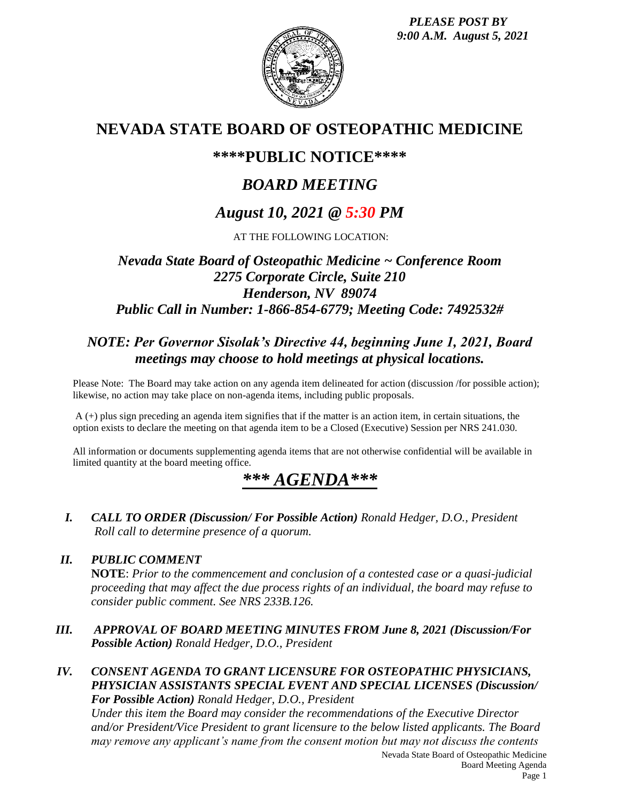*PLEASE POST BY 9:00 A.M. August 5, 2021*



## **NEVADA STATE BOARD OF OSTEOPATHIC MEDICINE**

## **\*\*\*\*PUBLIC NOTICE\*\*\*\***

# *BOARD MEETING*

## *August 10, 2021 @ 5:30 PM*

AT THE FOLLOWING LOCATION:

### *Nevada State Board of Osteopathic Medicine ~ Conference Room 2275 Corporate Circle, Suite 210 Henderson, NV 89074 Public Call in Number: 1-866-854-6779; Meeting Code: 7492532#*

## *NOTE: Per Governor Sisolak's Directive 44, beginning June 1, 2021, Board meetings may choose to hold meetings at physical locations.*

Please Note: The Board may take action on any agenda item delineated for action (discussion /for possible action); likewise, no action may take place on non-agenda items, including public proposals.

A (+) plus sign preceding an agenda item signifies that if the matter is an action item, in certain situations, the option exists to declare the meeting on that agenda item to be a Closed (Executive) Session per NRS 241.030.

All information or documents supplementing agenda items that are not otherwise confidential will be available in limited quantity at the board meeting office.

# *\*\*\* AGENDA\*\*\**

*I. CALL TO ORDER (Discussion/ For Possible Action) Ronald Hedger, D.O., President Roll call to determine presence of a quorum.*

### *II. PUBLIC COMMENT*

**NOTE**: *Prior to the commencement and conclusion of a contested case or a quasi-judicial proceeding that may affect the due process rights of an individual, the board may refuse to consider public comment. See NRS 233B.126.*

- *III. APPROVAL OF BOARD MEETING MINUTES FROM June 8, 2021 (Discussion/For Possible Action) Ronald Hedger, D.O., President*
- *IV. CONSENT AGENDA TO GRANT LICENSURE FOR OSTEOPATHIC PHYSICIANS, PHYSICIAN ASSISTANTS SPECIAL EVENT AND SPECIAL LICENSES (Discussion/ For Possible Action) Ronald Hedger, D.O., President*

*Under this item the Board may consider the recommendations of the Executive Director and/or President/Vice President to grant licensure to the below listed applicants. The Board may remove any applicant's name from the consent motion but may not discuss the contents*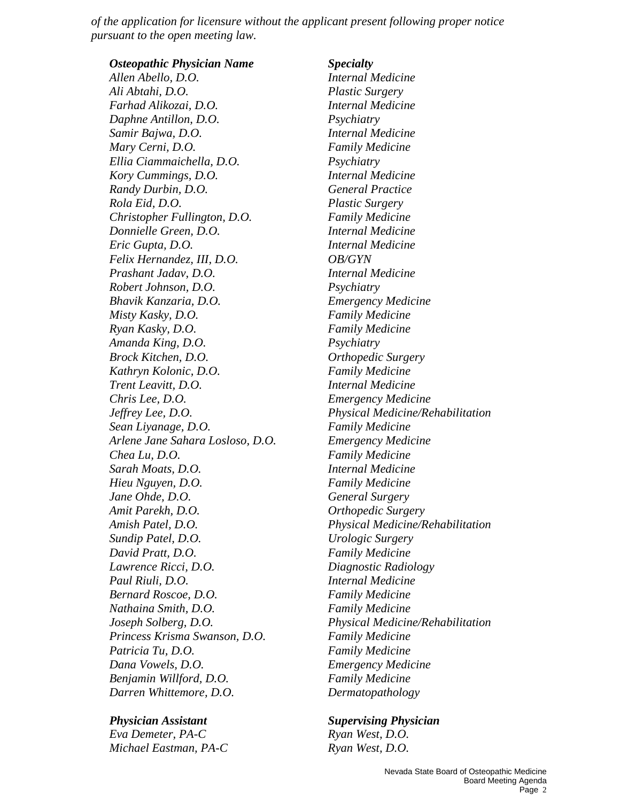*of the application for licensure without the applicant present following proper notice pursuant to the open meeting law.*

*Osteopathic Physician Name Specialty Allen Abello, D.O. Internal Medicine Ali Abtahi, D.O. Plastic Surgery Farhad Alikozai, D.O. Internal Medicine Daphne Antillon, D.O. Psychiatry Samir Bajwa, D.O. Internal Medicine Mary Cerni, D.O. Family Medicine Ellia Ciammaichella, D.O. Psychiatry Kory Cummings, D.O. Internal Medicine Randy Durbin, D.O. General Practice Rola Eid, D.O. Plastic Surgery Christopher Fullington, D.O. Family Medicine Donnielle Green, D.O. Internal Medicine Eric Gupta, D.O. Internal Medicine Felix Hernandez, III, D.O. OB/GYN Prashant Jadav, D.O. Internal Medicine Robert Johnson, D.O. Psychiatry Bhavik Kanzaria, D.O. Emergency Medicine Misty Kasky, D.O. Family Medicine Ryan Kasky, D.O. Family Medicine Amanda King, D.O. Psychiatry Brock Kitchen, D.O. Orthopedic Surgery Kathryn Kolonic, D.O. Family Medicine Trent Leavitt, D.O. Internal Medicine Chris Lee, D.O. Emergency Medicine Sean Liyanage, D.O. Family Medicine Arlene Jane Sahara Losloso, D.O. Emergency Medicine Chea Lu, D.O. Family Medicine Sarah Moats, D.O. Internal Medicine Hieu Nguyen, D.O. Family Medicine Jane Ohde, D.O. General Surgery Amit Parekh, D.O. Orthopedic Surgery Sundip Patel, D.O. Urologic Surgery David Pratt, D.O. Family Medicine Lawrence Ricci, D.O. Diagnostic Radiology Paul Riuli, D.O. Internal Medicine Bernard Roscoe, D.O. Family Medicine Nathaina Smith, D.O. Family Medicine Princess Krisma Swanson, D.O. Family Medicine Patricia Tu, D.O. Family Medicine Dana Vowels, D.O. Emergency Medicine Benjamin Willford, D.O. Family Medicine Darren Whittemore, D.O. Dermatopathology* 

*Eva Demeter, PA-C Ryan West, D.O. Michael Eastman, PA-C Ryan West, D.O.* 

*Jeffrey Lee, D.O. Physical Medicine/Rehabilitation Amish Patel, D.O. Physical Medicine/Rehabilitation Joseph Solberg, D.O. Physical Medicine/Rehabilitation* 

*Physician Assistant Supervising Physician*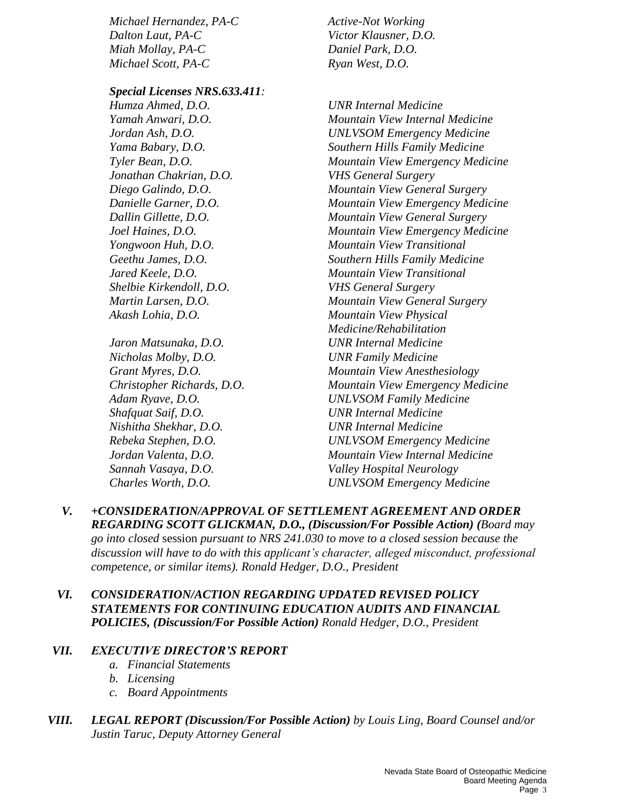*Michael Hernandez, PA-C Active-Not Working Dalton Laut, PA-C Victor Klausner, D.O. Miah Mollay, PA-C Daniel Park, D.O. Michael Scott, PA-C Ryan West, D.O.* 

*Special Licenses NRS.633.411:*

*Humza Ahmed, D.O. UNR Internal Medicine Jonathan Chakrian, D.O. VHS General Surgery Shelbie Kirkendoll, D.O. VHS General Surgery Akash Lohia, D.O. Mountain View Physical* 

*Jaron Matsunaka, D.O. UNR Internal Medicine Nicholas Molby, D.O. UNR Family Medicine Shafquat Saif, D.O. UNR Internal Medicine Nishitha Shekhar, D.O. UNR Internal Medicine Sannah Vasaya, D.O. Valley Hospital Neurology* 

*Yamah Anwari, D.O. Mountain View Internal Medicine Jordan Ash, D.O. UNLVSOM Emergency Medicine Yama Babary, D.O. Southern Hills Family Medicine Tyler Bean, D.O. Mountain View Emergency Medicine Diego Galindo, D.O. Mountain View General Surgery Danielle Garner, D.O. Mountain View Emergency Medicine Dallin Gillette, D.O. Mountain View General Surgery Joel Haines, D.O. Mountain View Emergency Medicine Yongwoon Huh, D.O. Mountain View Transitional Geethu James, D.O. Southern Hills Family Medicine Jared Keele, D.O. Mountain View Transitional Martin Larsen, D.O. Mountain View General Surgery Medicine/Rehabilitation Grant Myres, D.O. Mountain View Anesthesiology Christopher Richards, D.O. Mountain View Emergency Medicine Adam Ryave, D.O. UNLVSOM Family Medicine Rebeka Stephen, D.O. UNLVSOM Emergency Medicine Jordan Valenta, D.O. Mountain View Internal Medicine Charles Worth, D.O. UNLVSOM Emergency Medicine* 

- *V. +CONSIDERATION/APPROVAL OF SETTLEMENT AGREEMENT AND ORDER REGARDING SCOTT GLICKMAN, D.O., (Discussion/For Possible Action) (Board may go into closed* session *pursuant to NRS 241.030 to move to a closed session because the discussion will have to do with this applicant's character, alleged misconduct, professional competence, or similar items). Ronald Hedger, D.O., President*
- *VI. CONSIDERATION/ACTION REGARDING UPDATED REVISED POLICY STATEMENTS FOR CONTINUING EDUCATION AUDITS AND FINANCIAL POLICIES, (Discussion/For Possible Action) Ronald Hedger, D.O., President*

### *VII. EXECUTIVE DIRECTOR'S REPORT*

- *a. Financial Statements*
- *b. Licensing*
- *c. Board Appointments*
- *VIII. LEGAL REPORT (Discussion/For Possible Action) by Louis Ling, Board Counsel and/or Justin Taruc, Deputy Attorney General*